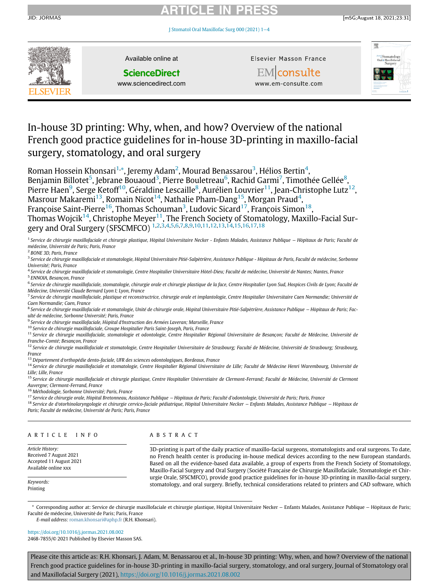#### JID: JORMAS

# ARTICLE IN PRESS



Available online at

# **ScienceDirect**

www.sciencedirect.com

Elsevier Masson France

**EM** consulte



# In-house 3D printing: Why, when, and how? Overview of the national French good practice guidelines for in-house 3D-printing in maxillo-facial surgery, stomatology, and oral surgery

Roman Hossein Khonsari<sup>[1,](#page-0-0)</sup>[\\*](#page-0-1), Jeremy Adam<sup>[2](#page-0-2)</sup>, Mourad Benassarou<sup>[3](#page-0-3)</sup>, Hélios Bertin<sup>[4](#page-0-4)</sup>,

Benjamin Billotet<sup>[5](#page-0-5)</sup>, Jebrane Bouaoud<sup>[3](#page-0-3)</sup>, Pierre Bouletreau<sup>[6](#page-0-6)</sup>, Rachid Garmi<sup>[7](#page-0-7)</sup>, Timothée Gellée<sup>[8](#page-0-8)</sup>, Pierre Haen $^9$  $^9$ , Serge Ketoff $^{10}$  $^{10}$  $^{10}$ , Géraldine Lescaille $^8$  $^8$ , Aurélien Louvrier $^{11}$  $^{11}$  $^{11}$ , Jean-Christophe Lutz $^{12}$ ,

Masrour Makaremi $^{13}$ , Romain Nicot $^{14}$  $^{14}$  $^{14}$ , Nathalie Pham-Dang $^{15}$ , Morgan Praud $^{4}$ ,

Françoise Saint-Pierre $^{16}$ , Thomas Schouman $^3$  $^3$ , Ludovic Sicard $^{17}$ , François Simon $^{18}$ ,

Thomas Wojcik $^{14}$ , Christophe Meyer $^{11}$ , The French Society of Stomatology, Maxillo-Facial Surgery and Oral Surgery (SFSCMFCO) [1,](#page-0-0)[2](#page-0-2),[3](#page-0-3)[,4,](#page-0-4)[5](#page-0-5),[6](#page-0-6)[,7,](#page-0-7)[8](#page-0-8),[9,](#page-0-9)[10](#page-0-10)[,11](#page-0-11)[,12](#page-0-12),[13](#page-0-13),[14,](#page-0-14)[15,](#page-0-15)[16,](#page-0-16)[17](#page-0-17)[,18](#page-0-18)

<span id="page-0-0"></span><sup>1</sup> Service de chirurgie maxillofaciale et chirurgie plastique, Hôpital Universitaire Necker - Enfants Malades, Assistance Publique – Hôpitaux de Paris; Faculté de médecine, Université de Paris: Paris, France

<span id="page-0-2"></span><sup>2</sup> BONE 3D, Paris, France

<span id="page-0-3"></span><sup>3</sup> Service de chirurgie maxillofaciale et stomatologie, Hôpital Universitaire Pitié-Salpêtrière, Assistance Publique - Hôpitaux de Paris, Faculté de médecine, Sorbonne Universite; Paris, France

<span id="page-0-5"></span><span id="page-0-4"></span><sup>4</sup> Service de chirurgie maxillofaciale et stomatologie, Centre Hospitalier Universitaire Hôtel-Dieu; Faculté de médecine, Université de Nantes; Nantes, France <sup>5</sup> ENNOIA, Besançon, France

<span id="page-0-6"></span><sup>6</sup> Service de chirurgie maxillofaciale, stomatologie, chirurgie orale et chirurgie plastique de la face, Centre Hospitalier Lyon Sud, Hospices Civils de Lyon; Faculté de Médecine, Université Claude Bernard Lyon I: Lyon, France

<span id="page-0-7"></span>7 Service de chirurgie maxillofaciale, plastique et reconstructrice, chirurgie orale et implantologie, Centre Hospitalier Universitaire Caen Normandie; Université de Caen Normandie; Caen, France

<span id="page-0-8"></span><sup>8</sup> Service de chirurgie maxillofaciale et stomatologie, Unité de chirurgie orale, Hôpital Universitaire Pitié-Salpêtrière, Assistance Publique − Hôpitaux de Paris; Faculté de médecine, Sorbonne Université: Paris, France

<span id="page-0-9"></span> $^9$  Service de chirurgie maxillofaciale, Hôpital d'Instruction des Armées Laveran; Marseille, France

<span id="page-0-10"></span><sup>10</sup> Service de chirurgie maxillofaciale, Groupe Hospitalier Paris Saint-Joseph, Paris, France

<span id="page-0-11"></span><sup>11</sup> Service de chirurgie maxillofaciale, stomatologie et odontologie, Centre Hospitalier Régional Universitaire de Besançon; Faculté de Médecine, Université de Franche-Comté: Besancon, France

<span id="page-0-12"></span><sup>12</sup> Service de chirurgie maxillofaciale et stomatologie, Centre Hospitalier Universitaire de Strasbourg; Faculté de Médecine, Université de Strasbourg; Strasbourg, France

<span id="page-0-13"></span> $13$  Département d'orthopédie dento-faciale, UFR des sciences odontologiques, Bordeaux, France

<span id="page-0-14"></span><sup>14</sup> Service de chirurgie maxillofaciale et stomatologie, Centre Hospitalier Régional Universitaire de Lille; Faculté de Médecine Henri Warembourg, Université de Lille; Lille, France

<span id="page-0-15"></span><sup>15</sup> Service de chirurgie maxillofaciale et chirurgie plastique, Centre Hospitalier Universtiaire de Clermont-Ferrand; Faculté de Médecine, Université de Clermont Auvergne; Clermont-Ferrand, France

<span id="page-0-16"></span><sup>16</sup> Méthodologie, Sorbonne Université; Paris, France

<span id="page-0-17"></span><sup>17</sup> Service de chirurgie orale, Hôpital Bretonneau, Assistance Publique – Hôpitaux de Paris; Faculté d'odontologie, Université de Paris; Paris, France

<span id="page-0-18"></span><sup>18</sup> Service de d'otorhinolaryngologie et chirurgie cervico-faciale pédiatrique, Hôpital Universitaire Necker − Enfants Malades, Assistance Publique − Hôpitaux de Paris; Faculté de médecine, Université de Paris; Paris, France

| ARTICLE INFO                                                                                  | ABSTRACT                                                                                                                                                                                                                                                                                                                                                                                                                                                                                                                                                                                                                                                                                  |
|-----------------------------------------------------------------------------------------------|-------------------------------------------------------------------------------------------------------------------------------------------------------------------------------------------------------------------------------------------------------------------------------------------------------------------------------------------------------------------------------------------------------------------------------------------------------------------------------------------------------------------------------------------------------------------------------------------------------------------------------------------------------------------------------------------|
| Article History:<br>Received 7 August 2021<br>Accepted 11 August 2021<br>Available online xxx | 3D-printing is part of the daily practice of maxillo-facial surgeons, stomatologists and oral surgeons. To date,<br>no French health center is producing in-house medical devices according to the new European standards.<br>Based on all the evidence-based data available, a group of experts from the French Society of Stomatology,<br>Maxillo-Facial Surgery and Oral Surgery (Société Française de Chirurgie Maxillofaciale, Stomatologie et Chir-<br>urgie Orale, SFSCMFCO), provide good practice guidelines for in-house 3D-printing in maxillo-facial surgery,<br>stomatology, and oral surgery. Briefly, technical considerations related to printers and CAD software, which |
| Keywords:<br>Printing                                                                         |                                                                                                                                                                                                                                                                                                                                                                                                                                                                                                                                                                                                                                                                                           |

<span id="page-0-1"></span>\* Corresponding author at: Service de chirurgie maxillofaciale et chirurgie plastique, Hopital Universitaire Necker ^ − Enfants Malades, Assistance Publique − Hopitaux de Paris; ^ Faculté de médecine, Université de Paris; Paris, France

E-mail address: [roman.khonsari@aphp.fr](mailto:roman.khonsari@aphp.fr) (R.H. Khonsari).

<https://doi.org/10.1016/j.jormas.2021.08.002> 2468-7855/© 2021 Published by Elsevier Masson SAS.

Please cite this article as: R.H. Khonsari, J. Adam, M. Benassarou et al., In-house 3D printing: Why, when, and how? Overview of the national French good practice guidelines for in-house 3D-printing in maxillo-facial surgery, stomatology, and oral surgery, Journal of Stomatology oral and Maxillofacial Surgery (2021), <https://doi.org/10.1016/j.jormas.2021.08.002>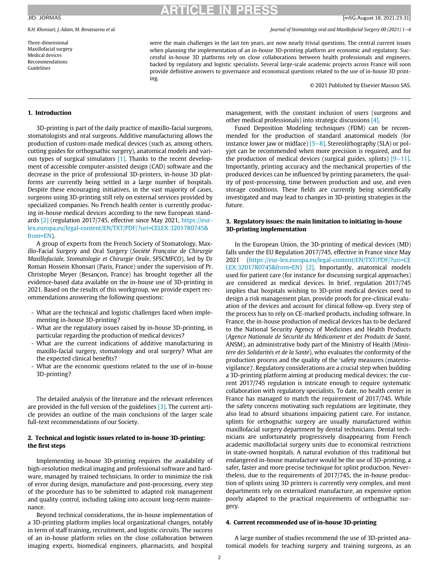Three-dimensional Maxillofacial surgery Medical devices Recommendations Guidelines

# **RTICLE IN PR**

R.H. Khonsari, J. Adam, M. Benassarou et al. Journal of Stomatology oral and Maxillofacial Surgery 00 (2021) 1−4

were the main challenges in the last ten years, are now nearly trivial questions. The central current issues when planning the implementation of an in-house 3D-printing platform are economic and regulatory. Successful in-house 3D platforms rely on close collaborations between health professionals and engineers, backed by regulatory and logistic specialists. Several large-scale academic projects across France will soon provide definitive answers to governance and economical questions related to the use of in-house 3D printing.

© 2021 Published by Elsevier Masson SAS.

## 1. Introduction

3D-printing is part of the daily practice of maxillo-facial surgeons, stomatologists and oral surgeons. Additive manufacturing allows the production of custom-made medical devices (such as, among others, cutting guides for orthognathic surgery), anatomical models and various types of surgical simulators [\[1\]](#page-2-0). Thanks to the recent development of accessible computer-assisted design (CAD) software and the decrease in the price of professional 3D-printers, in-house 3D platforms are currently being settled in a large number of hospitals. Despite these encouraging initiatives, in the vast majority of cases, surgeons using 3D-printing still rely on external services provided by specialized companies. No French health center is currently producing in-house medical devices according to the new European standards [\[2\]](#page-2-1) (regulation 2017/745, effective since May 2021, [https://eur](https://eur-lex.europa.eu/legal-content/EN/TXT/PDF/?uri=CELEX:32017R0745&from=EN)[lex.europa.eu/legal-content/EN/TXT/PDF/?uri=CELEX:32017R0745&](https://eur-lex.europa.eu/legal-content/EN/TXT/PDF/?uri=CELEX:32017R0745&from=EN) [from=EN\)](https://eur-lex.europa.eu/legal-content/EN/TXT/PDF/?uri=CELEX:32017R0745&from=EN).

A group of experts from the French Society of Stomatology, Maxillo-Facial Surgery and Oral Surgery (Société Française de Chirurgie Maxillofaciale, Stomatologie et Chirurgie Orale, SFSCMFCO), led by Dr Roman Hossein Khonsari (Paris, France) under the supervision of Pr. Christophe Meyer (Besançon, France) has brought together all the evidence-based data available on the in-house use of 3D-printing in 2021. Based on the results of this workgroup, we provide expert recommendations answering the following questions:

- What are the technical and logistic challenges faced when implementing in-house 3D-printing?
- What are the regulatory issues raised by in-house 3D-printing, in particular regarding the production of medical devices?
- What are the current indications of additive manufacturing in maxillo-facial surgery, stomatology and oral surgery? What are the expected clinical benefits?
- What are the economic questions related to the use of in-house 3D-printing?

The detailed analysis of the literature and the relevant references are provided in the full version of the guidelines  $[3]$ . The current article provides an outline of the main conclusions of the larger scale full-text recommendations of our Society.

# 2. Technical and logistic issues related to in-house 3D-printing: the first steps

Implementing in-house 3D-printing requires the availability of high-resolution medical imaging and professional software and hardware, managed by trained technicians. In order to minimize the risk of error during design, manufacture and post-processing, every step of the procedure has to be submitted to adapted risk management and quality control, including taking into account long-term maintenance.

Beyond technical considerations, the in-house implementation of a 3D-printing platform implies local organizational changes, notably in term of staff training, recruitment, and logistic circuits. The success of an in-house platform relies on the close collaboration between imaging experts, biomedical engineers, pharmacists, and hospital

management, with the constant inclusion of users (surgeons and other medical professionals) into strategic discussions [\[4\].](#page-2-3)

Fused Deposition Modeling techniques (FDM) can be recommended for the production of standard anatomical models (for instance lower jaw or midface) [\[5](#page-2-4)−8]. Stereolithography (SLA) or polyjet can be recommended when more precision is required, and for the production of medical devices (surgical guides, splints) [9−[11\].](#page-2-5) Importantly, printing accuracy and the mechanical properties of the produced devices can be influenced by printing parameters, the quality of post-processing, time between production and use, and even storage conditions. These fields are currently being scientifically investigated and may lead to changes in 3D-printing strategies in the future.

### 3. Regulatory issues: the main limitation to initiating in-house 3D-printing implementation

In the European Union, the 3D-printing of medical devices (MD) falls under the EU Regulation 2017/745, effective in France since May 2021 ([https://eur-lex.europa.eu/legal-content/EN/TXT/PDF/?uri=CE](https://eur-lex.europa.eu/legal-content/EN/TXT/PDF/?uri=CELEX:32017R0745&from=EN) [LEX:32017R0745&from=EN\)](https://eur-lex.europa.eu/legal-content/EN/TXT/PDF/?uri=CELEX:32017R0745&from=EN) [\[2\].](#page-2-1) Importantly, anatomical models used for patient care (for instance for discussing surgical approaches) are considered as medical devices. In brief, regulation 2017/745 implies that hospitals wishing to 3D-print medical devices need to design a risk management plan, provide proofs for pre-clinical evaluation of the devices and account for clinical follow-up. Every step of the process has to rely on CE-marked products, including software. In France, the in-house production of medical devices has to be declared to the National Security Agency of Medicines and Health Products (Agence Nationale de Sécurité du Médicament et des Produits de Santé, ANSM), an administrative body part of the Ministry of Health (Ministère des Solidarités et de la Santé), who evaluates the conformity of the production process and the quality of the 'safety measures (materiovigilance)'. Regulatory considerations are a crucial step when building a 3D-printing platform aiming at producing medical devices; the current 2017/745 regulation is intricate enough to require systematic collaboration with regulatory specialists. To date, no health center in France has managed to match the requirement of 2017/745. While the safety concerns motivating such regulations are legitimate, they also lead to absurd situations impairing patient care. For instance, splints for orthognathic surgery are usually manufactured within maxillofacial surgery department by dental technicians. Dental technicians are unfortunately progressively disappearing from French academic maxillofacial surgery units due to economical restrictions in state-owned hospitals. A natural evolution of this traditional but endangered in-house manufacture would be the use of 3D-printing, a safer, faster and more precise technique for splint production. Nevertheless, due to the requirements of 2017/745, the in-house production of splints using 3D printers is currently very complex, and most departments rely on externalized manufacture, an expensive option poorly adapted to the practical requirements of orthognathic surgery.

#### 4. Current recommended use of in-house 3D-printing

A large number of studies recommend the use of 3D-printed anatomical models for teaching surgery and training surgeons, as an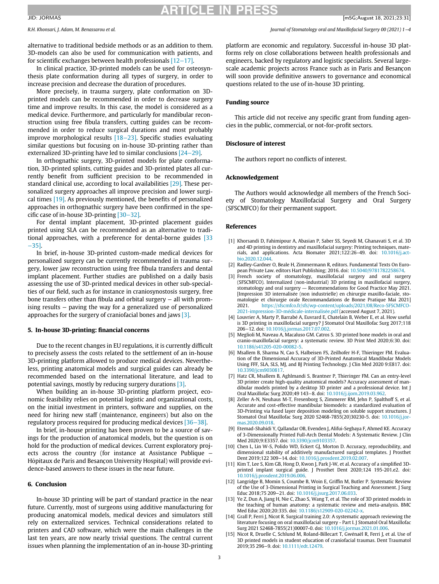#### JID: JORMAS

# RTICI F IN PR

R.H. Khonsari, J. Adam, M. Benassarou et al. Journal of Stomatology oral and Maxillofacial Surgery 00 (2021) 1−4

alternative to traditional bedside methods or as an addition to them. 3D-models can also be used for communication with patients, and for scientific exchanges between health professionals [12−[17\].](#page-2-6)

In clinical practice, 3D-printed models can be used for osteosynthesis plate conformation during all types of surgery, in order to increase precision and decrease the duration of procedures.

More precisely, in trauma surgery, plate conformation on 3Dprinted models can be recommended in order to decrease surgery time and improve results. In this case, the model is considered as a medical device. Furthermore, and particularly for mandibular reconstruction using free fibula transfers, cutting guides can be recommended in order to reduce surgical durations and most probably improve morphological results [\[18](#page-3-0)−23]. Specific studies evaluating similar questions but focusing on in-house 3D-printing rather than externalized 3D-printing have led to similar conclusions [24−[29\]](#page-3-1).

In orthognathic surgery, 3D-printed models for plate conformation, 3D-printed splints, cutting guides and 3D-printed plates all currently benefit from sufficient precision to be recommended in standard clinical use, according to local availabilities [\[29\].](#page-3-2) These personalized surgery approaches all improve precision and lower surgical times [\[19\]](#page-3-3). As previously mentioned, the benefits of personalized approaches in orthognathic surgery have been confirmed in the specific case of in-house 3D-printing [\[30](#page-3-4)−32].

For dental implant placement, 3D-printed placement guides printed using SLA can be recommended as an alternative to traditional approaches, with a preference for dental-borne guides [\[33](#page-3-5) −[35\]](#page-3-5).

<span id="page-2-2"></span><span id="page-2-1"></span><span id="page-2-0"></span>In brief, in-house 3D-printed custom-made medical devices for personalized surgery can be currently recommended in trauma surgery, lower jaw reconstruction using free fibula transfers and dental implant placement. Further studies are published on a daily basis assessing the use of 3D-printed medical devices in other sub-specialties of our field, such as for instance in craniosynostosis surgery, free bone transfers other than fibula and orbital surgery − all with promising results − paving the way for a generalized use of personalized approaches for the surgery of craniofacial bones and jaws [\[3\].](#page-2-2)

### <span id="page-2-4"></span><span id="page-2-3"></span>5. In-house 3D-printing: financial concerns

Due to the recent changes in EU regulations, it is currently difficult to precisely assess the costs related to the settlement of an in-house 3D-printing platform allowed to produce medical devices. Nevertheless, printing anatomical models and surgical guides can already be recommended based on the international literature, and lead to potential savings, mostly by reducing surgery durations [\[3\].](#page-2-2)

When building an in-house 3D-printing platform project, economic feasibility relies on potential logistic and organizational costs, on the initial investment in printers, software and supplies, on the need for hiring new staff (maintenance, engineers) but also on the regulatory process required for producing medical devices [\[36](#page-3-6)−38].

<span id="page-2-5"></span>In brief, in-house printing has been proven to be a source of savings for the production of anatomical models, but the question is on hold for the production of medical devices. Current exploratory projects across the country (for instance at Assistance Publique – Hôpitaux de Paris and Besan con University Hospital) will provide evidence-based answers to these issues in the near future.

### <span id="page-2-6"></span>6. Conclusion

In-house 3D printing will be part of standard practice in the near future. Currently, most of surgeons using additive manufacturing for producing anatomical models, medical devices and simulators still rely on externalized services. Technical considerations related to printers and CAD software, which were the main challenges in the last ten years, are now nearly trivial questions. The central current issues when planning the implementation of an in-house 3D-printing

platform are economic and regulatory. Successful in-house 3D platforms rely on close collaborations between health professionals and engineers, backed by regulatory and logistic specialists. Several largescale academic projects across France such as in Paris and Besancon will soon provide definitive answers to governance and economical questions related to the use of in-house 3D printing.

### Funding source

This article did not receive any specific grant from funding agencies in the public, commercial, or not-for-profit sectors.

# Disclosure of interest

The authors report no conflicts of interest.

# Acknowledgement

The Authors would acknowledge all members of the French Society of Stomatology Maxillofacial Surgery and Oral Surgery (SFSCMFCO) for their permanent support.

#### References

- [1] Khorsandi D, Fahimipour A, Abasian P, Saber SS, Seyedi M, Ghanavati S, et al. 3D and 4D printing in dentistry and maxillofacial surgery: Printing techniques, materials, and applications. Acta Biomater 2021;122:26–49. doi: [10.1016/j.act](https://doi.org/10.1016/j.actbio.2020.12.044)[bio.2020.12.044.](https://doi.org/10.1016/j.actbio.2020.12.044)
- [2] Radley-Gardner O, Beale H, Zimmermann R, editors. Fundamental Texts On European Private Law. editors Hart Publishing; 2016. doi: [10.5040/9781782258674.](https://doi.org/10.5040/9781782258674)
- [3] French society of stomatology, maxillofacial surgery and oral surgery (SFSCMFCO). Internalized (non-industrial) 3D printing in maxillofacial surgery, stomatology and oral surgery — Recommendations for Good Practice May 2021. [Impression 3D internalisée (non industrielle) en chirurgie maxillo-faciale, stomatologie et chirurgie orale Recommandations de Bonne Pratique Mai 2021]<br>2021 https://sfscmfco.fr/sfs/wp-content/uploads/2021/08/Reco-SFSCMFCO-2021. [https://sfscmfco.fr/sfs/wp-content/uploads/2021/08/Reco-SFSCMFCO-](https://sfscmfco.fr/sfs/wp-content/uploads/2021/08/Reco-SFSCMFCO-2021-impression-3D-médicale-internalisée.pdf)2021-impression-3D-médicale-internalisée.pdf (accessed August 7, 2021).
- [4] Louvrier A, Marty P, Barrabé A, Euvrard E, Chatelain B, Weber E, et al. How useful is 3D printing in maxillofacial surgery? J Stomatol Oral Maxillofac Surg 2017;118 206−12. doi: [10.1016/j.jormas.2017.07.002.](https://doi.org/10.1016/j.jormas.2017.07.002)
- [5] Meglioli M, Naveau A, Macaluso GM. Catros S. 3D printed bone models in oral and cranio-maxillofacial surgery: a systematic review. 3D Print Med 2020;6:30. doi: [10.1186/s41205-020-00082-5.](https://doi.org/10.1186/s41205-020-00082-5)
- [6] Msallem B, Sharma N, Cao S, Halbeisen FS, Zeilhofer H-F, Thieringer FM. Evaluation of the Dimensional Accuracy of 3D-Printed Anatomical Mandibular Models Using FFF, SLA, SLS, MJ, and BJ Printing Technology. J Clin Med 2020 9:E817. doi: [10.3390/jcm9030817.](https://doi.org/10.3390/jcm9030817)
- [7] Hatz CR, Msallem B, Aghlmandi S, Brantner P, Thieringer FM. Can an entry-level 3D printer create high-quality anatomical models? Accuracy assessment of mandibular models printed by a desktop 3D printer and a professional device. Int J Oral Maxillofac Surg 2020;49 143−8. doi: [10.1016/j.ijom.2019.03.962.](https://doi.org/10.1016/j.ijom.2019.03.962)
- [8] Zeller A-N, Neuhaus M-T, Fresenborg S, Zimmerer RM, Jehn P, Spalthoff S, et al. Accurate and cost-effective mandibular biomodels: a standardized evaluation of 3D-Printing via fused layer deposition modeling on soluble support structures. J Stomatol Oral Maxillofac Surg 2020 S2468-7855(20)30230-5. doi: [10.1016/j.jor](https://doi.org/10.1016/j.jormas.2020.09.018)[mas.2020.09.018.](https://doi.org/10.1016/j.jormas.2020.09.018)
- [9] Etemad-Shahidi Y, Qallandar OB, Evenden J, Alifui-Segbaya F, Ahmed KE. Accuracy of 3-Dimensionally Printed Full-Arch Dental Models: A Systematic Review. J Clin Med 2020;9:E3357. doi: [10.3390/jcm9103357.](https://doi.org/10.3390/jcm9103357)
- [10] Chen L, Lin W-S, Polido WD, Eckert GJ, Morton D. Accuracy, reproducibility, and dimensional stability of additively manufactured surgical templates. J Prosthet Dent 2019;122 309−14. doi: [10.1016/j.prosdent.2019.02.007.](https://doi.org/10.1016/j.prosdent.2019.02.007)
- [11] Kim T, Lee S, Kim GB, Hong D, Kwon J, Park J-W, et al. Accuracy of a simplified 3Dprinted implant surgical guide. J Prosthet Dent 2020;124 195-201.e2. doi: [10.1016/j.prosdent.2019.06.006.](https://doi.org/10.1016/j.prosdent.2019.06.006)
- [12] Langridge B, Momin S, Coumbe B, Woin E, Griffin M, Butler P. Systematic Review of the Use of 3-Dimensional Printing in Surgical Teaching and Assessment. J Surg Educ 2018;75 209−21. doi: [10.1016/j.jsurg.2017.06.033.](https://doi.org/10.1016/j.jsurg.2017.06.033)
- [13] Ye Z, Dun A, Jiang H, Nie C, Zhao S, Wang T, et al. The role of 3D printed models in the teaching of human anatomy: a systematic review and meta-analysis. BMC Med Educ 2020;20:335. doi: [10.1186/s12909-020-02242-x.](https://doi.org/10.1186/s12909-020-02242-x)
- [14] Grall P, Ferri J, Nicot R. Surgical training 2.0: A systematic approach reviewing the literature focusing on oral maxillofacial surgery - Part I. J Stomatol Oral Maxillofac Surg 2021 S2468-7855(21)00007-0. doi: [10.1016/j.jormas.2021.01.006.](https://doi.org/10.1016/j.jormas.2021.01.006)
- [15] Nicot R, Druelle C, Schlund M, Roland-Billecart T, Gwénaël R, Ferri J, et al. Use of 3D printed models in student education of craniofacial traumas. Dent Traumatol 2019;35 296−9. doi: [10.1111/edt.12479.](https://doi.org/10.1111/edt.12479)